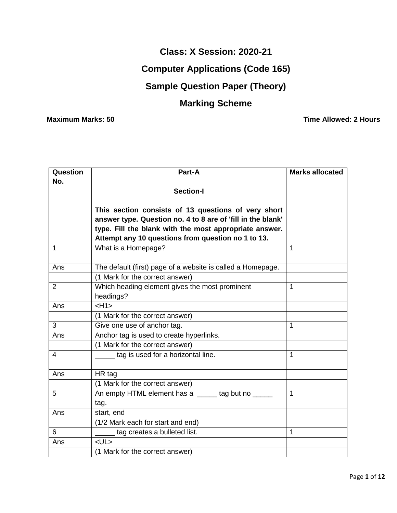**Class: X Session: 2020-21**

## **Computer Applications (Code 165)**

## **Sample Question Paper (Theory)**

## **Marking Scheme**

**Maximum Marks: 50 Time Allowed: 2 Hours** 

| Question | Part-A                                                      | <b>Marks allocated</b> |
|----------|-------------------------------------------------------------|------------------------|
| No.      |                                                             |                        |
|          | <b>Section-I</b>                                            |                        |
|          |                                                             |                        |
|          | This section consists of 13 questions of very short         |                        |
|          | answer type. Question no. 4 to 8 are of 'fill in the blank' |                        |
|          | type. Fill the blank with the most appropriate answer.      |                        |
|          | Attempt any 10 questions from question no 1 to 13.          |                        |
| 1        | What is a Homepage?                                         | 1                      |
| Ans      | The default (first) page of a website is called a Homepage. |                        |
|          | (1 Mark for the correct answer)                             |                        |
| 2        | Which heading element gives the most prominent              | 1                      |
|          | headings?                                                   |                        |
| Ans      | H1                                                          |                        |
|          | (1 Mark for the correct answer)                             |                        |
| 3        | Give one use of anchor tag.                                 | $\mathbf 1$            |
| Ans      | Anchor tag is used to create hyperlinks.                    |                        |
|          | (1 Mark for the correct answer)                             |                        |
| 4        | tag is used for a horizontal line.                          | 1                      |
|          |                                                             |                        |
| Ans      | HR tag                                                      |                        |
|          | (1 Mark for the correct answer)                             |                        |
| 5        | An empty HTML element has a _____ tag but no _____          | 1                      |
|          | tag.                                                        |                        |
| Ans      | start, end                                                  |                        |
|          | (1/2 Mark each for start and end)                           |                        |
| 6        | tag creates a bulleted list.                                | $\mathbf 1$            |
| Ans      | $<$ UL $>$                                                  |                        |
|          | (1 Mark for the correct answer)                             |                        |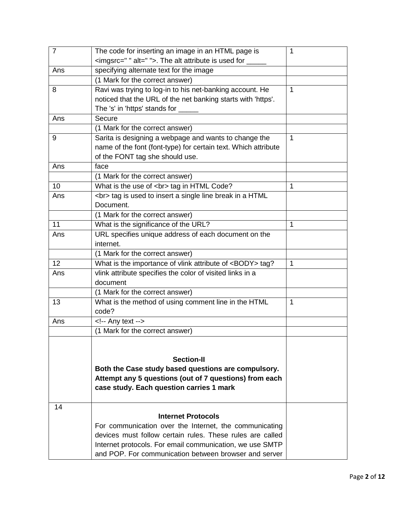| $\overline{7}$ | The code for inserting an image in an HTML page is                  | 1            |
|----------------|---------------------------------------------------------------------|--------------|
|                | <imgsrc=" "="" alt=" ">. The alt attribute is used for _</imgsrc="> |              |
| Ans            | specifying alternate text for the image                             |              |
|                | (1 Mark for the correct answer)                                     |              |
| 8              | Ravi was trying to log-in to his net-banking account. He            | 1            |
|                | noticed that the URL of the net banking starts with 'https'.        |              |
|                | The 's' in 'https' stands for __                                    |              |
| Ans            | Secure                                                              |              |
|                | (1 Mark for the correct answer)                                     |              |
| 9              | Sarita is designing a webpage and wants to change the               | $\mathbf{1}$ |
|                | name of the font (font-type) for certain text. Which attribute      |              |
|                | of the FONT tag she should use.                                     |              |
| Ans            | face                                                                |              |
|                | (1 Mark for the correct answer)                                     |              |
| 10             | What is the use of<br>tag in HTML Code?                             | $\mathbf{1}$ |
| Ans            | <br>tag is used to insert a single line break in a HTML             |              |
|                | Document.                                                           |              |
|                | (1 Mark for the correct answer)                                     |              |
| 11             | What is the significance of the URL?                                | 1            |
| Ans            | URL specifies unique address of each document on the                |              |
|                | internet.                                                           |              |
|                | (1 Mark for the correct answer)                                     |              |
| 12             | What is the importance of vlink attribute of <body> tag?</body>     | $\mathbf{1}$ |
| Ans            | vlink attribute specifies the color of visited links in a           |              |
|                | document                                                            |              |
|                | (1 Mark for the correct answer)                                     |              |
| 13             | What is the method of using comment line in the HTML                | 1            |
|                | code?                                                               |              |
| Ans            | $\leftarrow$ -- Any text -->                                        |              |
|                | (1 Mark for the correct answer)                                     |              |
|                |                                                                     |              |
|                |                                                                     |              |
|                | <b>Section-II</b>                                                   |              |
|                | Both the Case study based questions are compulsory.                 |              |
|                | Attempt any 5 questions (out of 7 questions) from each              |              |
|                | case study. Each question carries 1 mark                            |              |
|                |                                                                     |              |
| 14             |                                                                     |              |
|                | <b>Internet Protocols</b>                                           |              |
|                | For communication over the Internet, the communicating              |              |
|                | devices must follow certain rules. These rules are called           |              |
|                | Internet protocols. For email communication, we use SMTP            |              |
|                | and POP. For communication between browser and server               |              |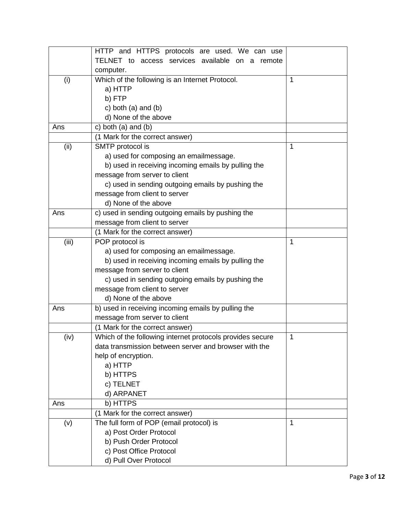|       | HTTP and HTTPS protocols are used. We can use             |              |
|-------|-----------------------------------------------------------|--------------|
|       | TELNET to access services available on a remote           |              |
|       | computer.                                                 |              |
| (i)   | Which of the following is an Internet Protocol.           | 1            |
|       | a) HTTP                                                   |              |
|       | b) FTP                                                    |              |
|       | c) both $(a)$ and $(b)$                                   |              |
|       | d) None of the above                                      |              |
| Ans   | c) both $(a)$ and $(b)$                                   |              |
|       | (1 Mark for the correct answer)                           |              |
| (ii)  | SMTP protocol is                                          | $\mathbf{1}$ |
|       | a) used for composing an emailmessage.                    |              |
|       | b) used in receiving incoming emails by pulling the       |              |
|       | message from server to client                             |              |
|       | c) used in sending outgoing emails by pushing the         |              |
|       | message from client to server                             |              |
|       | d) None of the above                                      |              |
| Ans   | c) used in sending outgoing emails by pushing the         |              |
|       | message from client to server                             |              |
|       | (1 Mark for the correct answer)                           |              |
| (iii) | POP protocol is                                           | 1            |
|       | a) used for composing an emailmessage.                    |              |
|       | b) used in receiving incoming emails by pulling the       |              |
|       | message from server to client                             |              |
|       | c) used in sending outgoing emails by pushing the         |              |
|       | message from client to server                             |              |
|       | d) None of the above                                      |              |
| Ans   | b) used in receiving incoming emails by pulling the       |              |
|       | message from server to client                             |              |
|       | (1 Mark for the correct answer)                           |              |
| (iv)  | Which of the following internet protocols provides secure | $\mathbf{1}$ |
|       | data transmission between server and browser with the     |              |
|       | help of encryption.                                       |              |
|       | a) HTTP                                                   |              |
|       | b) HTTPS                                                  |              |
|       | c) TELNET                                                 |              |
|       | d) ARPANET                                                |              |
| Ans   | b) HTTPS                                                  |              |
|       | (1 Mark for the correct answer)                           |              |
| (v)   | The full form of POP (email protocol) is                  | $\mathbf 1$  |
|       | a) Post Order Protocol                                    |              |
|       | b) Push Order Protocol                                    |              |
|       | c) Post Office Protocol                                   |              |
|       | d) Pull Over Protocol                                     |              |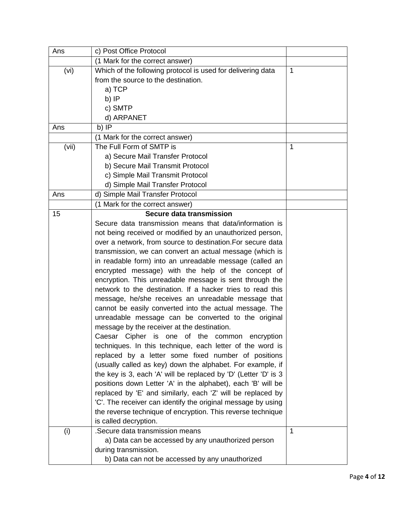| Ans   | c) Post Office Protocol                                         |             |
|-------|-----------------------------------------------------------------|-------------|
|       | (1 Mark for the correct answer)                                 |             |
| (vi)  | Which of the following protocol is used for delivering data     | 1           |
|       | from the source to the destination.                             |             |
|       | a) TCP                                                          |             |
|       | b) IP                                                           |             |
|       | c) SMTP                                                         |             |
|       | d) ARPANET                                                      |             |
| Ans   | b) $IP$                                                         |             |
|       | (1 Mark for the correct answer)                                 |             |
| (vii) | The Full Form of SMTP is                                        | 1           |
|       | a) Secure Mail Transfer Protocol                                |             |
|       | b) Secure Mail Transmit Protocol                                |             |
|       | c) Simple Mail Transmit Protocol                                |             |
|       | d) Simple Mail Transfer Protocol                                |             |
| Ans   | d) Simple Mail Transfer Protocol                                |             |
|       | (1 Mark for the correct answer)                                 |             |
| 15    | Secure data transmission                                        |             |
|       | Secure data transmission means that data/information is         |             |
|       | not being received or modified by an unauthorized person,       |             |
|       | over a network, from source to destination. For secure data     |             |
|       | transmission, we can convert an actual message (which is        |             |
|       | in readable form) into an unreadable message (called an         |             |
|       | encrypted message) with the help of the concept of              |             |
|       | encryption. This unreadable message is sent through the         |             |
|       | network to the destination. If a hacker tries to read this      |             |
|       | message, he/she receives an unreadable message that             |             |
|       | cannot be easily converted into the actual message. The         |             |
|       | unreadable message can be converted to the original             |             |
|       | message by the receiver at the destination.                     |             |
|       | Caesar Cipher is one of the common encryption                   |             |
|       | techniques. In this technique, each letter of the word is       |             |
|       | replaced by a letter some fixed number of positions             |             |
|       | (usually called as key) down the alphabet. For example, if      |             |
|       | the key is 3, each 'A' will be replaced by 'D' (Letter 'D' is 3 |             |
|       | positions down Letter 'A' in the alphabet), each 'B' will be    |             |
|       | replaced by 'E' and similarly, each 'Z' will be replaced by     |             |
|       | 'C'. The receiver can identify the original message by using    |             |
|       | the reverse technique of encryption. This reverse technique     |             |
|       | is called decryption.                                           |             |
| (i)   | .Secure data transmission means                                 | $\mathbf 1$ |
|       | a) Data can be accessed by any unauthorized person              |             |
|       | during transmission.                                            |             |
|       |                                                                 |             |
|       | b) Data can not be accessed by any unauthorized                 |             |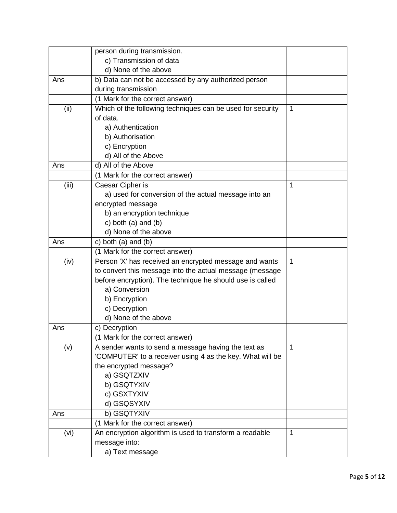|       | person during transmission.                                |              |
|-------|------------------------------------------------------------|--------------|
|       | c) Transmission of data                                    |              |
|       | d) None of the above                                       |              |
| Ans   | b) Data can not be accessed by any authorized person       |              |
|       | during transmission                                        |              |
|       | (1 Mark for the correct answer)                            |              |
| (ii)  | Which of the following techniques can be used for security | $\mathbf 1$  |
|       | of data.                                                   |              |
|       | a) Authentication                                          |              |
|       | b) Authorisation                                           |              |
|       | c) Encryption                                              |              |
|       | d) All of the Above                                        |              |
| Ans   | d) All of the Above                                        |              |
|       | (1 Mark for the correct answer)                            |              |
| (iii) | Caesar Cipher is                                           | $\mathbf{1}$ |
|       | a) used for conversion of the actual message into an       |              |
|       | encrypted message                                          |              |
|       | b) an encryption technique                                 |              |
|       | c) both $(a)$ and $(b)$                                    |              |
|       | d) None of the above                                       |              |
| Ans   | c) both $(a)$ and $(b)$                                    |              |
|       | (1 Mark for the correct answer)                            |              |
| (iv)  | Person 'X' has received an encrypted message and wants     | $\mathbf{1}$ |
|       | to convert this message into the actual message (message   |              |
|       | before encryption). The technique he should use is called  |              |
|       | a) Conversion                                              |              |
|       | b) Encryption                                              |              |
|       | c) Decryption                                              |              |
|       | d) None of the above                                       |              |
| Ans   | c) Decryption                                              |              |
|       | (1 Mark for the correct answer)                            |              |
| (v)   | A sender wants to send a message having the text as        | 1            |
|       | 'COMPUTER' to a receiver using 4 as the key. What will be  |              |
|       | the encrypted message?                                     |              |
|       | a) GSQTZXIV                                                |              |
|       | b) GSQTYXIV                                                |              |
|       | c) GSXTYXIV                                                |              |
|       | d) GSQSYXIV                                                |              |
| Ans   | b) GSQTYXIV                                                |              |
|       | (1 Mark for the correct answer)                            |              |
| (vi)  | An encryption algorithm is used to transform a readable    | $\mathbf{1}$ |
|       | message into:                                              |              |
|       | a) Text message                                            |              |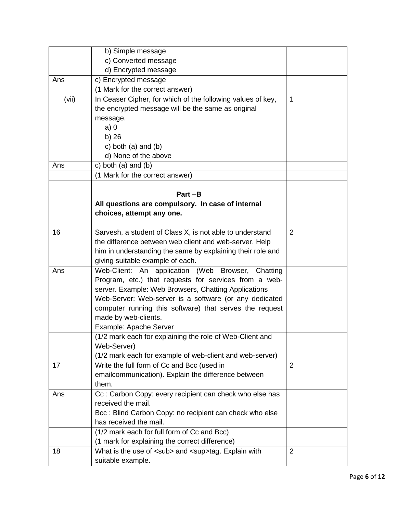|       | b) Simple message                                               |                |
|-------|-----------------------------------------------------------------|----------------|
|       | c) Converted message                                            |                |
|       | d) Encrypted message                                            |                |
| Ans   | c) Encrypted message                                            |                |
|       | (1 Mark for the correct answer)                                 |                |
| (vii) | In Ceaser Cipher, for which of the following values of key,     | $\mathbf{1}$   |
|       | the encrypted message will be the same as original              |                |
|       | message.                                                        |                |
|       | a)0                                                             |                |
|       | b) 26                                                           |                |
|       | c) both $(a)$ and $(b)$                                         |                |
|       | d) None of the above                                            |                |
| Ans   | c) both $(a)$ and $(b)$                                         |                |
|       | (1 Mark for the correct answer)                                 |                |
|       |                                                                 |                |
|       | Part-B                                                          |                |
|       | All questions are compulsory. In case of internal               |                |
|       | choices, attempt any one.                                       |                |
|       |                                                                 |                |
| 16    | Sarvesh, a student of Class X, is not able to understand        | 2              |
|       | the difference between web client and web-server. Help          |                |
|       | him in understanding the same by explaining their role and      |                |
|       | giving suitable example of each.                                |                |
| Ans   | Web-Client: An application (Web Browser, Chatting               |                |
|       | Program, etc.) that requests for services from a web-           |                |
|       | server. Example: Web Browsers, Chatting Applications            |                |
|       | Web-Server: Web-server is a software (or any dedicated          |                |
|       | computer running this software) that serves the request         |                |
|       | made by web-clients.                                            |                |
|       | Example: Apache Server                                          |                |
|       | (1/2 mark each for explaining the role of Web-Client and        |                |
|       | Web-Server)                                                     |                |
|       | (1/2 mark each for example of web-client and web-server)        |                |
| 17    | Write the full form of Cc and Bcc (used in                      | 2              |
|       | emailcommunication). Explain the difference between             |                |
|       | them.                                                           |                |
| Ans   | Cc: Carbon Copy: every recipient can check who else has         |                |
|       | received the mail.                                              |                |
|       | Bcc: Blind Carbon Copy: no recipient can check who else         |                |
|       | has received the mail.                                          |                |
|       | (1/2 mark each for full form of Cc and Bcc)                     |                |
|       | (1 mark for explaining the correct difference)                  |                |
| 18    | What is the use of <sub> and <sup>tag. Explain with</sup></sub> | $\overline{2}$ |
|       | suitable example.                                               |                |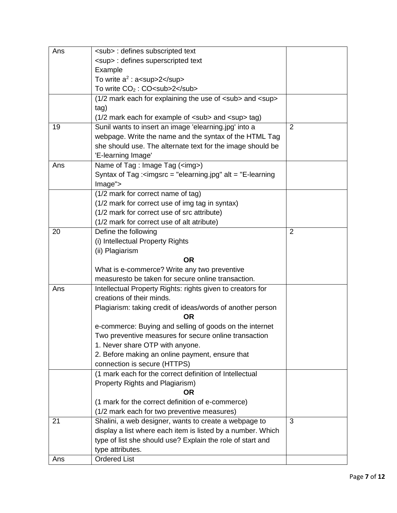| Ans | <sub> : defines subscripted text</sub>                                                          |                |
|-----|-------------------------------------------------------------------------------------------------|----------------|
|     | <sup> : defines superscripted text</sup>                                                        |                |
|     | Example                                                                                         |                |
|     | To write $a^2$ : a <sup>2</sup>                                                                 |                |
|     | To write CO <sub>2</sub> : CO <sub>2</sub>                                                      |                |
|     | (1/2 mark each for explaining the use of <sub> and <sup></sup></sub>                            |                |
|     | tag)                                                                                            |                |
|     | (1/2 mark each for example of <sub> and <sup> tag)</sup></sub>                                  |                |
| 19  | Sunil wants to insert an image 'elearning.jpg' into a                                           | $\overline{2}$ |
|     | webpage. Write the name and the syntax of the HTML Tag                                          |                |
|     | she should use. The alternate text for the image should be                                      |                |
|     | 'E-learning Image'                                                                              |                |
| Ans | Name of Tag: Image Tag ( <img/> )                                                               |                |
|     | Syntax of Tag : <imgsrc "e-learning<="" "elearning.jpg"="" =="" alt="" td=""><td></td></imgsrc> |                |
|     | Image'                                                                                          |                |
|     | (1/2 mark for correct name of tag)                                                              |                |
|     | (1/2 mark for correct use of img tag in syntax)                                                 |                |
|     | (1/2 mark for correct use of src attribute)                                                     |                |
|     | (1/2 mark for correct use of alt atribute)                                                      |                |
| 20  | Define the following                                                                            | $\overline{2}$ |
|     | (i) Intellectual Property Rights                                                                |                |
|     | (ii) Plagiarism                                                                                 |                |
|     | <b>OR</b>                                                                                       |                |
|     | What is e-commerce? Write any two preventive                                                    |                |
|     |                                                                                                 |                |
|     | measuresto be taken for secure online transaction.                                              |                |
| Ans | Intellectual Property Rights: rights given to creators for                                      |                |
|     | creations of their minds.                                                                       |                |
|     | Plagiarism: taking credit of ideas/words of another person                                      |                |
|     | <b>OR</b>                                                                                       |                |
|     | e-commerce: Buying and selling of goods on the internet                                         |                |
|     | Two preventive measures for secure online transaction                                           |                |
|     | 1. Never share OTP with anyone.                                                                 |                |
|     | 2. Before making an online payment, ensure that                                                 |                |
|     | connection is secure (HTTPS)                                                                    |                |
|     | (1 mark each for the correct definition of Intellectual                                         |                |
|     | Property Rights and Plagiarism)                                                                 |                |
|     | <b>OR</b>                                                                                       |                |
|     | (1 mark for the correct definition of e-commerce)                                               |                |
|     | (1/2 mark each for two preventive measures)                                                     |                |
| 21  | Shalini, a web designer, wants to create a webpage to                                           | 3              |
|     | display a list where each item is listed by a number. Which                                     |                |
|     | type of list she should use? Explain the role of start and                                      |                |
|     | type attributes.                                                                                |                |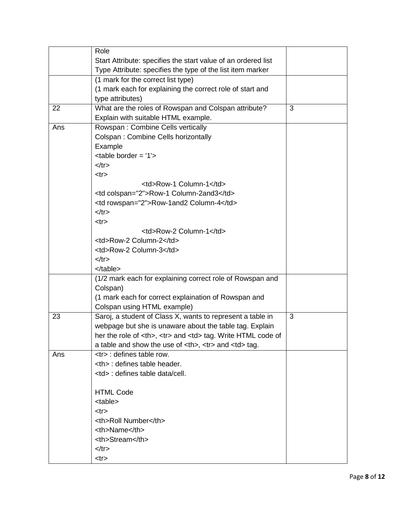|     | Role                                                          |                    |  |  |
|-----|---------------------------------------------------------------|--------------------|--|--|
|     | Start Attribute: specifies the start value of an ordered list |                    |  |  |
|     | Type Attribute: specifies the type of the list item marker    |                    |  |  |
|     | (1 mark for the correct list type)                            |                    |  |  |
|     | (1 mark each for explaining the correct role of start and     |                    |  |  |
|     | type attributes)                                              |                    |  |  |
| 22  | What are the roles of Rowspan and Colspan attribute?          | 3                  |  |  |
|     | Explain with suitable HTML example.                           |                    |  |  |
| Ans | Rowspan: Combine Cells vertically                             |                    |  |  |
|     | Colspan: Combine Cells horizontally                           |                    |  |  |
|     | Example                                                       |                    |  |  |
|     | $ext{able border} = '1'$                                      |                    |  |  |
|     | $\langle$ tr>                                                 |                    |  |  |
|     | <tr></tr>                                                     |                    |  |  |
|     |                                                               |                    |  |  |
|     | <td>Row-1 Column-1</td>                                       | Row-1 Column-1     |  |  |
|     | <td colspan="2">Row-1 Column-2and3</td>                       | Row-1 Column-2and3 |  |  |
|     | <td rowspan="2">Row-1and2 Column-4</td>                       | Row-1and2 Column-4 |  |  |
|     | $\langle$ tr>                                                 |                    |  |  |
|     | <tr></tr>                                                     |                    |  |  |
|     |                                                               |                    |  |  |
|     | <td>Row-2 Column-1</td>                                       | Row-2 Column-1     |  |  |
|     | <td>Row-2 Column-2</td>                                       | Row-2 Column-2     |  |  |
|     | <td>Row-2 Column-3</td>                                       | Row-2 Column-3     |  |  |
|     | $\langle tr \rangle$                                          |                    |  |  |
|     |                                                               |                    |  |  |

  ||  | (1/2 mark each for explaining correct role of Rowspan and |  |
|  | Colspan) |  |
|  | (1 mark each for correct explaination of Rowspan and |  |
|  | Colspan using HTML example) |  |
| 23 | Saroj, a student of Class X, wants to represent a table in | 3 |
|  | webpage but she is unaware about the table tag. Explain |  |
|  | her the role of  , | and  tag. Write HTML code of |  | |  | a table and show the use of  , | and  tag. |  | | Ans | | : defines table row. |  | |  | |  | : defines table header. | |  | |  | : defines table data/cell. |  | | |  |  |  | |  | **HTML Code** |  | |  |  |  | |  | | |  | |  | |  | Roll Number | |  | |  | Name | |  | |  | Stream | |  | |  | $\langle$ tr> |  | |  | | |  | |  | | | | |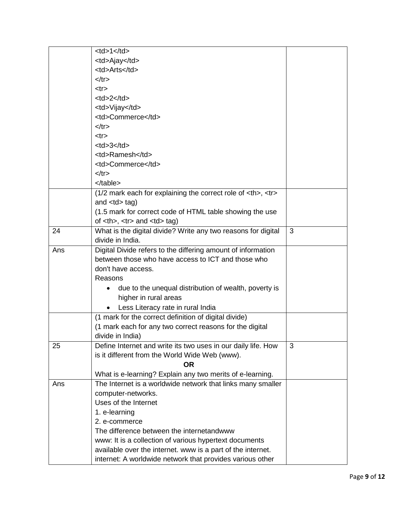|     | $<$ td>1 $<$ /td>                                                      |             |  |
|-----|------------------------------------------------------------------------|-------------|--|
|     | <td>Ajay</td>                                                          | Ajay        |  |
|     | <td>Arts</td>                                                          | Arts        |  |
|     | $\langle tr \rangle$                                                   |             |  |
|     | $<$ tr $>$                                                             |             |  |
|     | $<$ td>2 $<$ /td>                                                      |             |  |
|     | <td>Vijay</td>                                                         | Vijay       |  |
|     | <td>Commerce</td>                                                      | Commerce    |  |
|     | $\langle tr \rangle$                                                   |             |  |
|     | $<$ tr $>$                                                             |             |  |
|     | $<$ td>3 $<$ /td>                                                      |             |  |
|     | <td>Ramesh</td>                                                        | Ramesh      |  |
|     | <td>Commerce</td>                                                      | Commerce    |  |
|     | $\langle t \rangle$                                                    |             |  |
|     | $<$ /table>                                                            |             |  |
|     | (1/2 mark each for explaining the correct role of <th>, <tr></tr></th> | , <tr></tr> |  |
|     |                                                                        |             |  |
|     | and $<$ td $>$ tag)                                                    |             |  |
|     | (1.5 mark for correct code of HTML table showing the use               |             |  |
|     | of $th$ , $tr$ and $td$ tag)                                           |             |  |
| 24  | What is the digital divide? Write any two reasons for digital          | 3           |  |
|     | divide in India.                                                       |             |  |
| Ans | Digital Divide refers to the differing amount of information           |             |  |
|     | between those who have access to ICT and those who                     |             |  |
|     | don't have access.                                                     |             |  |
|     | Reasons                                                                |             |  |
|     | due to the unequal distribution of wealth, poverty is                  |             |  |
|     | higher in rural areas                                                  |             |  |
|     | Less Literacy rate in rural India                                      |             |  |
|     | (1 mark for the correct definition of digital divide)                  |             |  |
|     | (1 mark each for any two correct reasons for the digital               |             |  |
|     | divide in India)                                                       |             |  |
| 25  | Define Internet and write its two uses in our daily life. How          | 3           |  |
|     | is it different from the World Wide Web (www).                         |             |  |
|     | OR                                                                     |             |  |
|     | What is e-learning? Explain any two merits of e-learning.              |             |  |
| Ans | The Internet is a worldwide network that links many smaller            |             |  |
|     | computer-networks.                                                     |             |  |
|     | Uses of the Internet                                                   |             |  |
|     | 1. e-learning                                                          |             |  |
|     | 2. e-commerce                                                          |             |  |
|     | The difference between the internetandwww                              |             |  |
|     | www: It is a collection of various hypertext documents                 |             |  |
|     | available over the internet. www is a part of the internet.            |             |  |
|     | internet: A worldwide network that provides various other              |             |  |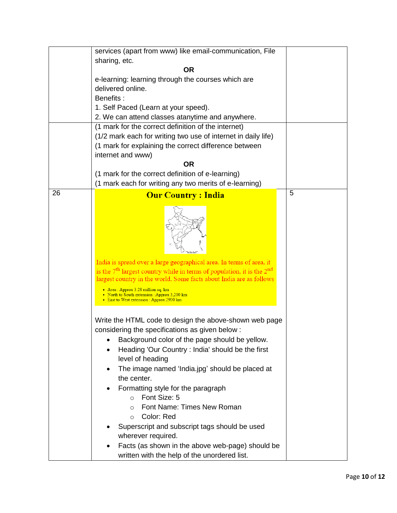|    | services (apart from www) like email-communication, File                                                                                          |   |
|----|---------------------------------------------------------------------------------------------------------------------------------------------------|---|
|    | sharing, etc.                                                                                                                                     |   |
|    | <b>OR</b>                                                                                                                                         |   |
|    | e-learning: learning through the courses which are<br>delivered online.                                                                           |   |
|    | Benefits:                                                                                                                                         |   |
|    | 1. Self Paced (Learn at your speed).                                                                                                              |   |
|    | 2. We can attend classes atanytime and anywhere.                                                                                                  |   |
|    | (1 mark for the correct definition of the internet)                                                                                               |   |
|    | (1/2 mark each for writing two use of internet in daily life)                                                                                     |   |
|    | (1 mark for explaining the correct difference between                                                                                             |   |
|    | internet and www)                                                                                                                                 |   |
|    | <b>OR</b>                                                                                                                                         |   |
|    | (1 mark for the correct definition of e-learning)                                                                                                 |   |
|    | (1 mark each for writing any two merits of e-learning)                                                                                            |   |
| 26 | <b>Our Country: India</b>                                                                                                                         | 5 |
|    |                                                                                                                                                   |   |
|    |                                                                                                                                                   |   |
|    |                                                                                                                                                   |   |
|    |                                                                                                                                                   |   |
|    |                                                                                                                                                   |   |
|    |                                                                                                                                                   |   |
|    | India is spread over a large geographical area. In terms of area, it                                                                              |   |
|    | is the $7th$ largest country while in terms of population, it is the $2nd$<br>largest country in the world. Some facts about India are as follows |   |
|    | • Area: Approx 3.28 million sq. km                                                                                                                |   |
|    | • North to South extension : Approx 3,200 km<br>• East to West extension : Approx 2900 km                                                         |   |
|    |                                                                                                                                                   |   |
|    | Write the HTML code to design the above-shown web page                                                                                            |   |
|    | considering the specifications as given below :                                                                                                   |   |
|    | Background color of the page should be yellow.                                                                                                    |   |
|    | Heading 'Our Country: India' should be the first                                                                                                  |   |
|    | level of heading                                                                                                                                  |   |
|    | The image named 'India.jpg' should be placed at                                                                                                   |   |
|    | the center.                                                                                                                                       |   |
|    | Formatting style for the paragraph                                                                                                                |   |
|    | Font Size: 5<br>$\circ$                                                                                                                           |   |
|    | Font Name: Times New Roman<br>$\circ$                                                                                                             |   |
|    | Color: Red<br>$\circ$                                                                                                                             |   |
|    | Superscript and subscript tags should be used                                                                                                     |   |
|    | wherever required.                                                                                                                                |   |
|    | Facts (as shown in the above web-page) should be                                                                                                  |   |
|    | written with the help of the unordered list.                                                                                                      |   |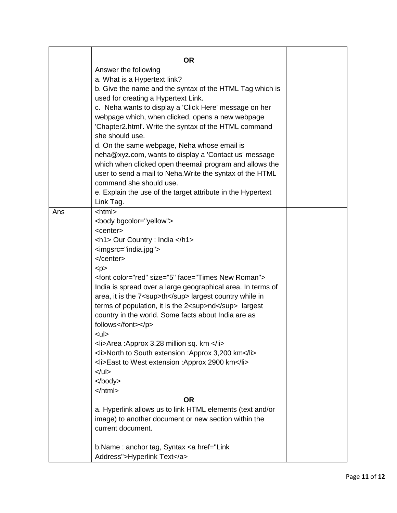|     | <b>OR</b><br>Answer the following<br>a. What is a Hypertext link?<br>b. Give the name and the syntax of the HTML Tag which is<br>used for creating a Hypertext Link.<br>c. Neha wants to display a 'Click Here' message on her<br>webpage which, when clicked, opens a new webpage<br>'Chapter2.html'. Write the syntax of the HTML command<br>she should use.<br>d. On the same webpage, Neha whose email is<br>neha@xyz.com, wants to display a 'Contact us' message<br>which when clicked open theemail program and allows the<br>user to send a mail to Neha. Write the syntax of the HTML<br>command she should use.                                                                                                                                                                                                                                                                                                                                                                                                   |  |
|-----|-----------------------------------------------------------------------------------------------------------------------------------------------------------------------------------------------------------------------------------------------------------------------------------------------------------------------------------------------------------------------------------------------------------------------------------------------------------------------------------------------------------------------------------------------------------------------------------------------------------------------------------------------------------------------------------------------------------------------------------------------------------------------------------------------------------------------------------------------------------------------------------------------------------------------------------------------------------------------------------------------------------------------------|--|
|     | e. Explain the use of the target attribute in the Hypertext<br>Link Tag.                                                                                                                                                                                                                                                                                                                                                                                                                                                                                                                                                                                                                                                                                                                                                                                                                                                                                                                                                    |  |
| Ans | <html><br/><body bgcolor="yellow"><br/><center><br/><h1> Our Country : India </h1><br/><imgsrc="india.jpg"><br/></imgsrc="india.jpg"></center><br/>&lt; p<br/><font color="red" face="Times New Roman" size="5"><br/>India is spread over a large geographical area. In terms of<br/>area, it is the 7<sup>th</sup> largest country while in<br/>terms of population, it is the 2<sup>nd</sup> largest<br/>country in the world. Some facts about India are as<br/>follows</font><br/><ul><br/><li>Area :Approx 3.28 million sq. km </li><br/><li>North to South extension :Approx 3,200 km</li><br/><li>East to West extension :Approx 2900 km</li><br/><math>&lt;</math>/ul&gt;<br/><math>&lt;</math>/body&gt;<br/><math>&lt;</math>/html<math>&gt;</math><br/><b>OR</b><br/>a. Hyperlink allows us to link HTML elements (text and/or<br/>image) to another document or new section within the<br/>current document.<br/>b. Name: anchor tag, Syntax &lt; a href="Link<br/>Address"&gt;Hyperlink Text</ul></body></html> |  |